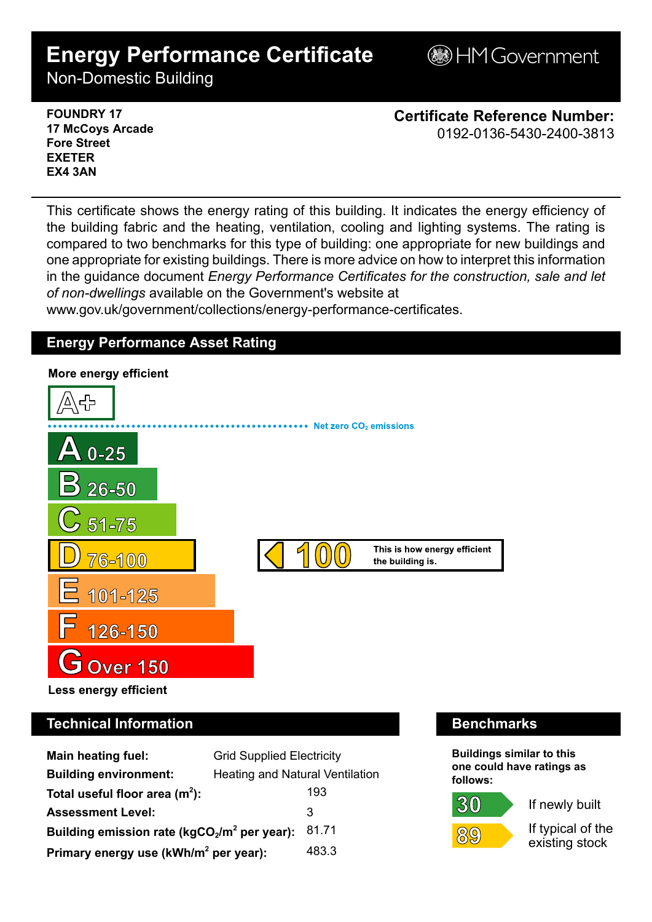# **Energy Performance Certificate**

**BHM Government** 

Non-Domestic Building

### **FOUNDRY 17 17 McCoys Arcade Fore Street EXETER EX4 3AN**

**Certificate Reference Number:** 0192-0136-5430-2400-3813

This certificate shows the energy rating of this building. It indicates the energy efficiency of the building fabric and the heating, ventilation, cooling and lighting systems. The rating is compared to two benchmarks for this type of building: one appropriate for new buildings and one appropriate for existing buildings. There is more advice on how to interpret this information in the guidance document *Energy Performance Certificates for the construction, sale and let of non-dwellings* available on the Government's website at

www.gov.uk/government/collections/energy-performance-certificates.

# **Energy Performance Asset Rating**



# **Technical Information Benchmarks**

| <b>Main heating fuel:</b>                         | <b>Grid Supplied Electricity</b>       |       |
|---------------------------------------------------|----------------------------------------|-------|
| <b>Building environment:</b>                      | <b>Heating and Natural Ventilation</b> |       |
| Total useful floor area $(m2)$ :                  |                                        | 193   |
| <b>Assessment Level:</b>                          |                                        | 3     |
| Building emission rate ( $kgCO2/m2$ per year):    |                                        | 81.71 |
| Primary energy use (kWh/m <sup>2</sup> per year): |                                        | 483.3 |

**Buildings similar to this one could have ratings as follows:**

30



If newly built

If typical of the existing stock